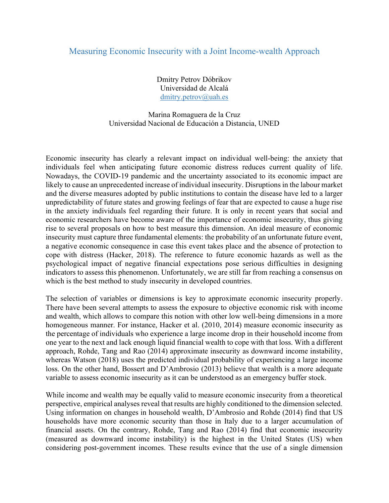## Measuring Economic Insecurity with a Joint Income-wealth Approach

Dmitry Petrov Dóbrikov Universidad de Alcalá dmitry.petrov@uah.es

## Marina Romaguera de la Cruz Universidad Nacional de Educación a Distancia, UNED

Economic insecurity has clearly a relevant impact on individual well-being: the anxiety that individuals feel when anticipating future economic distress reduces current quality of life. Nowadays, the COVID-19 pandemic and the uncertainty associated to its economic impact are likely to cause an unprecedented increase of individual insecurity. Disruptions in the labour market and the diverse measures adopted by public institutions to contain the disease have led to a larger unpredictability of future states and growing feelings of fear that are expected to cause a huge rise in the anxiety individuals feel regarding their future. It is only in recent years that social and economic researchers have become aware of the importance of economic insecurity, thus giving rise to several proposals on how to best measure this dimension. An ideal measure of economic insecurity must capture three fundamental elements: the probability of an unfortunate future event, a negative economic consequence in case this event takes place and the absence of protection to cope with distress (Hacker, 2018). The reference to future economic hazards as well as the psychological impact of negative financial expectations pose serious difficulties in designing indicators to assess this phenomenon. Unfortunately, we are still far from reaching a consensus on which is the best method to study insecurity in developed countries.

The selection of variables or dimensions is key to approximate economic insecurity properly. There have been several attempts to assess the exposure to objective economic risk with income and wealth, which allows to compare this notion with other low well-being dimensions in a more homogeneous manner. For instance, Hacker et al. (2010, 2014) measure economic insecurity as the percentage of individuals who experience a large income drop in their household income from one year to the next and lack enough liquid financial wealth to cope with that loss. With a different approach, Rohde, Tang and Rao (2014) approximate insecurity as downward income instability, whereas Watson (2018) uses the predicted individual probability of experiencing a large income loss. On the other hand, Bossert and D'Ambrosio (2013) believe that wealth is a more adequate variable to assess economic insecurity as it can be understood as an emergency buffer stock.

While income and wealth may be equally valid to measure economic insecurity from a theoretical perspective, empirical analyses reveal that results are highly conditioned to the dimension selected. Using information on changes in household wealth, D'Ambrosio and Rohde (2014) find that US households have more economic security than those in Italy due to a larger accumulation of financial assets. On the contrary, Rohde, Tang and Rao (2014) find that economic insecurity (measured as downward income instability) is the highest in the United States (US) when considering post-government incomes. These results evince that the use of a single dimension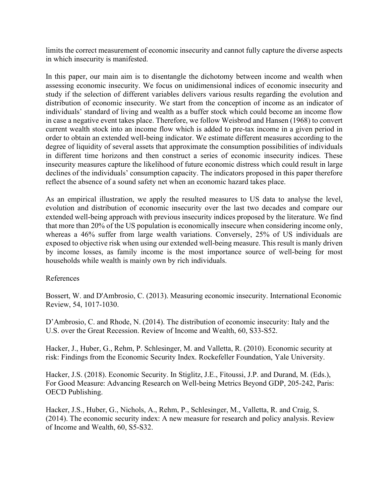limits the correct measurement of economic insecurity and cannot fully capture the diverse aspects in which insecurity is manifested.

In this paper, our main aim is to disentangle the dichotomy between income and wealth when assessing economic insecurity. We focus on unidimensional indices of economic insecurity and study if the selection of different variables delivers various results regarding the evolution and distribution of economic insecurity. We start from the conception of income as an indicator of individuals' standard of living and wealth as a buffer stock which could become an income flow in case a negative event takes place. Therefore, we follow Weisbrod and Hansen (1968) to convert current wealth stock into an income flow which is added to pre-tax income in a given period in order to obtain an extended well-being indicator. We estimate different measures according to the degree of liquidity of several assets that approximate the consumption possibilities of individuals in different time horizons and then construct a series of economic insecurity indices. These insecurity measures capture the likelihood of future economic distress which could result in large declines of the individuals' consumption capacity. The indicators proposed in this paper therefore reflect the absence of a sound safety net when an economic hazard takes place.

As an empirical illustration, we apply the resulted measures to US data to analyse the level, evolution and distribution of economic insecurity over the last two decades and compare our extended well-being approach with previous insecurity indices proposed by the literature. We find that more than 20% of the US population is economically insecure when considering income only, whereas a 46% suffer from large wealth variations. Conversely, 25% of US individuals are exposed to objective risk when using our extended well-being measure. This result is manly driven by income losses, as family income is the most importance source of well-being for most households while wealth is mainly own by rich individuals.

## References

Bossert, W. and D'Ambrosio, C. (2013). Measuring economic insecurity. International Economic Review, 54, 1017-1030.

D'Ambrosio, C. and Rhode, N. (2014). The distribution of economic insecurity: Italy and the U.S. over the Great Recession. Review of Income and Wealth, 60, S33-S52.

Hacker, J., Huber, G., Rehm, P. Schlesinger, M. and Valletta, R. (2010). Economic security at risk: Findings from the Economic Security Index. Rockefeller Foundation, Yale University.

Hacker, J.S. (2018). Economic Security. In Stiglitz, J.E., Fitoussi, J.P. and Durand, M. (Eds.), For Good Measure: Advancing Research on Well-being Metrics Beyond GDP, 205-242, Paris: OECD Publishing.

Hacker, J.S., Huber, G., Nichols, A., Rehm, P., Schlesinger, M., Valletta, R. and Craig, S. (2014). The economic security index: A new measure for research and policy analysis. Review of Income and Wealth, 60, S5-S32.